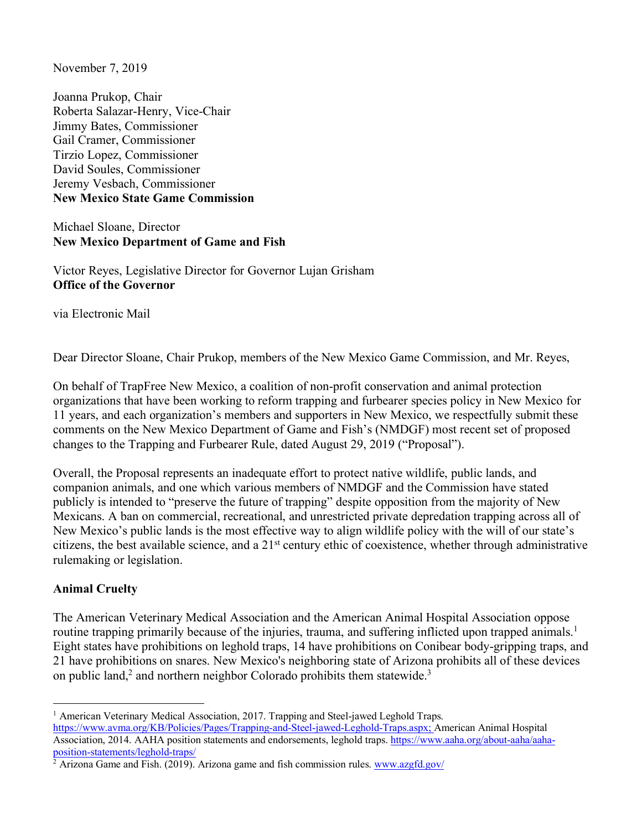November 7, 2019

Joanna Prukop, Chair Roberta Salazar-Henry, Vice-Chair Jimmy Bates, Commissioner Gail Cramer, Commissioner Tirzio Lopez, Commissioner David Soules, Commissioner Jeremy Vesbach, Commissioner **New Mexico State Game Commission**

Michael Sloane, Director **New Mexico Department of Game and Fish**

Victor Reyes, Legislative Director for Governor Lujan Grisham **Office of the Governor**

via Electronic Mail

Dear Director Sloane, Chair Prukop, members of the New Mexico Game Commission, and Mr. Reyes,

On behalf of TrapFree New Mexico, a coalition of non-profit conservation and animal protection organizations that have been working to reform trapping and furbearer species policy in New Mexico for 11 years, and each organization's members and supporters in New Mexico, we respectfully submit these comments on the New Mexico Department of Game and Fish's (NMDGF) most recent set of proposed changes to the Trapping and Furbearer Rule, dated August 29, 2019 ("Proposal").

Overall, the Proposal represents an inadequate effort to protect native wildlife, public lands, and companion animals, and one which various members of NMDGF and the Commission have stated publicly is intended to "preserve the future of trapping" despite opposition from the majority of New Mexicans. A ban on commercial, recreational, and unrestricted private depredation trapping across all of New Mexico's public lands is the most effective way to align wildlife policy with the will of our state's citizens, the best available science, and a 21st century ethic of coexistence, whether through administrative rulemaking or legislation.

# **Animal Cruelty**

The American Veterinary Medical Association and the American Animal Hospital Association oppose routine trapping primarily because of the injuries, trauma, and suffering inflicted upon trapped animals.<sup>1</sup> Eight states have prohibitions on leghold traps, 14 have prohibitions on Conibear body-gripping traps, and 21 have prohibitions on snares. New Mexico's neighboring state of Arizona prohibits all of these devices on public land,<sup>2</sup> and northern neighbor Colorado prohibits them statewide.<sup>3</sup>

<sup>1</sup> American Veterinary Medical Association, 2017. Trapping and Steel-jawed Leghold Traps. https://www.avma.org/KB/Policies/Pages/Trapping-and-Steel-jawed-Leghold-Traps.aspx; American Animal Hospital Association, 2014. AAHA position statements and endorsements, leghold traps. https://www.aaha.org/about-aaha/aahaposition-statements/leghold-traps/

 $^2$  Arizona Game and Fish. (2019). Arizona game and fish commission rules. www.azgfd.gov/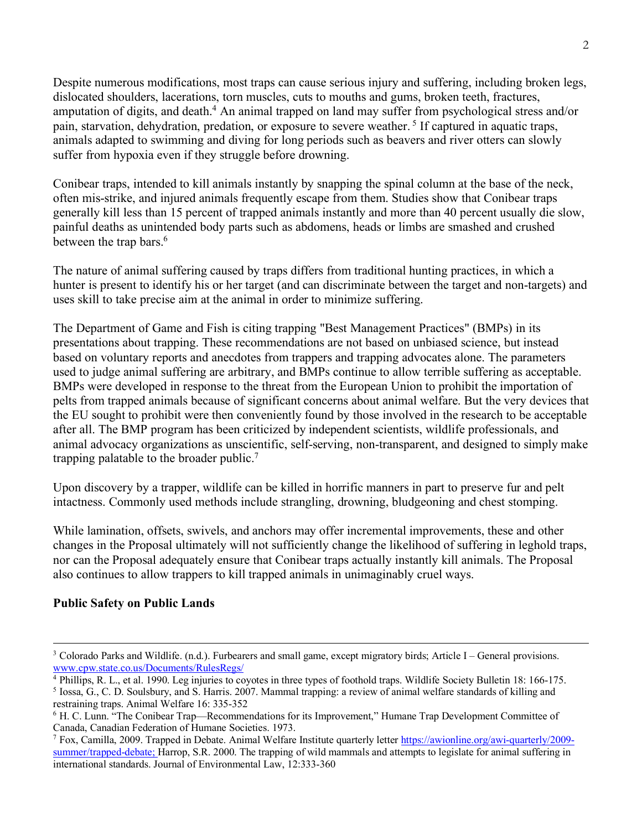Despite numerous modifications, most traps can cause serious injury and suffering, including broken legs, dislocated shoulders, lacerations, torn muscles, cuts to mouths and gums, broken teeth, fractures, amputation of digits, and death.<sup>4</sup> An animal trapped on land may suffer from psychological stress and/or pain, starvation, dehydration, predation, or exposure to severe weather. <sup>5</sup> If captured in aquatic traps, animals adapted to swimming and diving for long periods such as beavers and river otters can slowly suffer from hypoxia even if they struggle before drowning.

Conibear traps, intended to kill animals instantly by snapping the spinal column at the base of the neck, often mis-strike, and injured animals frequently escape from them. Studies show that Conibear traps generally kill less than 15 percent of trapped animals instantly and more than 40 percent usually die slow, painful deaths as unintended body parts such as abdomens, heads or limbs are smashed and crushed between the trap bars.<sup>6</sup>

The nature of animal suffering caused by traps differs from traditional hunting practices, in which a hunter is present to identify his or her target (and can discriminate between the target and non-targets) and uses skill to take precise aim at the animal in order to minimize suffering.

The Department of Game and Fish is citing trapping "Best Management Practices" (BMPs) in its presentations about trapping. These recommendations are not based on unbiased science, but instead based on voluntary reports and anecdotes from trappers and trapping advocates alone. The parameters used to judge animal suffering are arbitrary, and BMPs continue to allow terrible suffering as acceptable. BMPs were developed in response to the threat from the European Union to prohibit the importation of pelts from trapped animals because of significant concerns about animal welfare. But the very devices that the EU sought to prohibit were then conveniently found by those involved in the research to be acceptable after all. The BMP program has been criticized by independent scientists, wildlife professionals, and animal advocacy organizations as unscientific, self-serving, non-transparent, and designed to simply make trapping palatable to the broader public. 7

Upon discovery by a trapper, wildlife can be killed in horrific manners in part to preserve fur and pelt intactness. Commonly used methods include strangling, drowning, bludgeoning and chest stomping.

While lamination, offsets, swivels, and anchors may offer incremental improvements, these and other changes in the Proposal ultimately will not sufficiently change the likelihood of suffering in leghold traps, nor can the Proposal adequately ensure that Conibear traps actually instantly kill animals. The Proposal also continues to allow trappers to kill trapped animals in unimaginably cruel ways.

# **Public Safety on Public Lands**

 <sup>3</sup> Colorado Parks and Wildlife. (n.d.). Furbearers and small game, except migratory birds; Article I – General provisions. www.cpw.state.co.us/Documents/RulesRegs/ 4 Phillips, R. L., et al. 1990. Leg injuries to coyotes in three types of foothold traps. Wildlife Society Bulletin 18: 166-175.

<sup>5</sup> Iossa, G., C. D. Soulsbury, and S. Harris. 2007. Mammal trapping: a review of animal welfare standards of killing and restraining traps. Animal Welfare 16: 335-352

<sup>6</sup> H. C. Lunn. "The Conibear Trap—Recommendations for its Improvement," Humane Trap Development Committee of Canada, Canadian Federation of Humane Societies. 1973.

<sup>&</sup>lt;sup>7</sup> Fox, Camilla, 2009. Trapped in Debate. Animal Welfare Institute quarterly letter https://awionline.org/awi-quarterly/2009summer/trapped-debate; Harrop, S.R. 2000. The trapping of wild mammals and attempts to legislate for animal suffering in international standards. Journal of Environmental Law, 12:333-360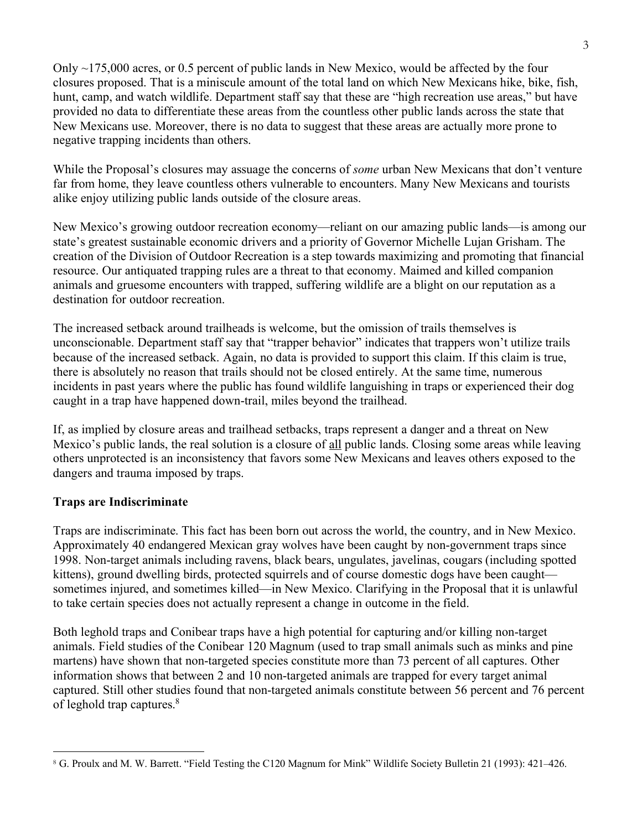Only ~175,000 acres, or 0.5 percent of public lands in New Mexico, would be affected by the four closures proposed. That is a miniscule amount of the total land on which New Mexicans hike, bike, fish, hunt, camp, and watch wildlife. Department staff say that these are "high recreation use areas," but have provided no data to differentiate these areas from the countless other public lands across the state that New Mexicans use. Moreover, there is no data to suggest that these areas are actually more prone to negative trapping incidents than others.

While the Proposal's closures may assuage the concerns of *some* urban New Mexicans that don't venture far from home, they leave countless others vulnerable to encounters. Many New Mexicans and tourists alike enjoy utilizing public lands outside of the closure areas.

New Mexico's growing outdoor recreation economy—reliant on our amazing public lands—is among our state's greatest sustainable economic drivers and a priority of Governor Michelle Lujan Grisham. The creation of the Division of Outdoor Recreation is a step towards maximizing and promoting that financial resource. Our antiquated trapping rules are a threat to that economy. Maimed and killed companion animals and gruesome encounters with trapped, suffering wildlife are a blight on our reputation as a destination for outdoor recreation.

The increased setback around trailheads is welcome, but the omission of trails themselves is unconscionable. Department staff say that "trapper behavior" indicates that trappers won't utilize trails because of the increased setback. Again, no data is provided to support this claim. If this claim is true, there is absolutely no reason that trails should not be closed entirely. At the same time, numerous incidents in past years where the public has found wildlife languishing in traps or experienced their dog caught in a trap have happened down-trail, miles beyond the trailhead.

If, as implied by closure areas and trailhead setbacks, traps represent a danger and a threat on New Mexico's public lands, the real solution is a closure of all public lands. Closing some areas while leaving others unprotected is an inconsistency that favors some New Mexicans and leaves others exposed to the dangers and trauma imposed by traps.

# **Traps are Indiscriminate**

Traps are indiscriminate. This fact has been born out across the world, the country, and in New Mexico. Approximately 40 endangered Mexican gray wolves have been caught by non-government traps since 1998. Non-target animals including ravens, black bears, ungulates, javelinas, cougars (including spotted kittens), ground dwelling birds, protected squirrels and of course domestic dogs have been caught sometimes injured, and sometimes killed—in New Mexico. Clarifying in the Proposal that it is unlawful to take certain species does not actually represent a change in outcome in the field.

Both leghold traps and Conibear traps have a high potential for capturing and/or killing non-target animals. Field studies of the Conibear 120 Magnum (used to trap small animals such as minks and pine martens) have shown that non-targeted species constitute more than 73 percent of all captures. Other information shows that between 2 and 10 non-targeted animals are trapped for every target animal captured. Still other studies found that non-targeted animals constitute between 56 percent and 76 percent of leghold trap captures.<sup>8</sup>

 $\overline{a}$ <sup>8</sup> G. Proulx and M. W. Barrett. "Field Testing the C120 Magnum for Mink" Wildlife Society Bulletin 21 (1993): 421–426.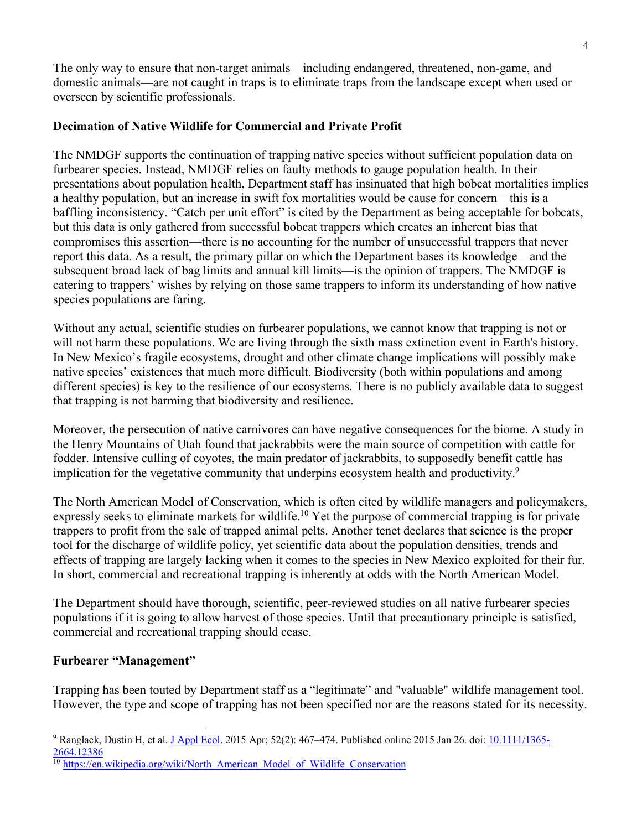The only way to ensure that non-target animals—including endangered, threatened, non-game, and domestic animals—are not caught in traps is to eliminate traps from the landscape except when used or overseen by scientific professionals.

# **Decimation of Native Wildlife for Commercial and Private Profit**

The NMDGF supports the continuation of trapping native species without sufficient population data on furbearer species. Instead, NMDGF relies on faulty methods to gauge population health. In their presentations about population health, Department staff has insinuated that high bobcat mortalities implies a healthy population, but an increase in swift fox mortalities would be cause for concern—this is a baffling inconsistency. "Catch per unit effort" is cited by the Department as being acceptable for bobcats, but this data is only gathered from successful bobcat trappers which creates an inherent bias that compromises this assertion—there is no accounting for the number of unsuccessful trappers that never report this data. As a result, the primary pillar on which the Department bases its knowledge—and the subsequent broad lack of bag limits and annual kill limits—is the opinion of trappers. The NMDGF is catering to trappers' wishes by relying on those same trappers to inform its understanding of how native species populations are faring.

Without any actual, scientific studies on furbearer populations, we cannot know that trapping is not or will not harm these populations. We are living through the sixth mass extinction event in Earth's history. In New Mexico's fragile ecosystems, drought and other climate change implications will possibly make native species' existences that much more difficult. Biodiversity (both within populations and among different species) is key to the resilience of our ecosystems. There is no publicly available data to suggest that trapping is not harming that biodiversity and resilience.

Moreover, the persecution of native carnivores can have negative consequences for the biome. A study in the Henry Mountains of Utah found that jackrabbits were the main source of competition with cattle for fodder. Intensive culling of coyotes, the main predator of jackrabbits, to supposedly benefit cattle has implication for the vegetative community that underpins ecosystem health and productivity.<sup>9</sup>

The North American Model of Conservation, which is often cited by wildlife managers and policymakers, expressly seeks to eliminate markets for wildlife.<sup>10</sup> Yet the purpose of commercial trapping is for private trappers to profit from the sale of trapped animal pelts. Another tenet declares that science is the proper tool for the discharge of wildlife policy, yet scientific data about the population densities, trends and effects of trapping are largely lacking when it comes to the species in New Mexico exploited for their fur. In short, commercial and recreational trapping is inherently at odds with the North American Model.

The Department should have thorough, scientific, peer-reviewed studies on all native furbearer species populations if it is going to allow harvest of those species. Until that precautionary principle is satisfied, commercial and recreational trapping should cease.

# **Furbearer "Management"**

Trapping has been touted by Department staff as a "legitimate" and "valuable" wildlife management tool. However, the type and scope of trapping has not been specified nor are the reasons stated for its necessity.

 $9$  Ranglack, Dustin H, et al. J Appl Ecol. 2015 Apr; 52(2): 467–474. Published online 2015 Jan 26. doi: 10.1111/1365-2664.12386

<sup>&</sup>lt;sup>10</sup> https://en.wikipedia.org/wiki/North\_American\_Model\_of\_Wildlife\_Conservation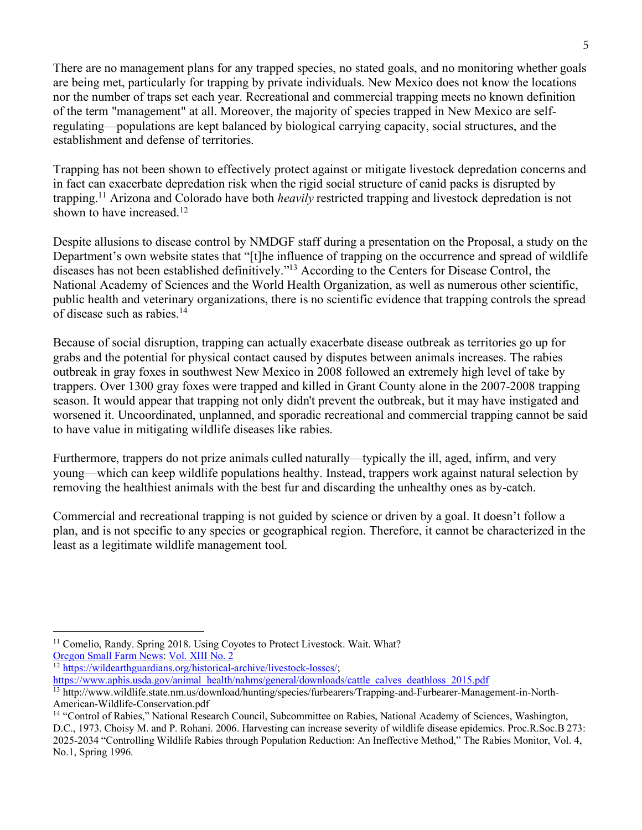There are no management plans for any trapped species, no stated goals, and no monitoring whether goals are being met, particularly for trapping by private individuals. New Mexico does not know the locations nor the number of traps set each year. Recreational and commercial trapping meets no known definition of the term "management" at all. Moreover, the majority of species trapped in New Mexico are selfregulating—populations are kept balanced by biological carrying capacity, social structures, and the establishment and defense of territories.

Trapping has not been shown to effectively protect against or mitigate livestock depredation concerns and in fact can exacerbate depredation risk when the rigid social structure of canid packs is disrupted by trapping.11 Arizona and Colorado have both *heavily* restricted trapping and livestock depredation is not shown to have increased. 12

Despite allusions to disease control by NMDGF staff during a presentation on the Proposal, a study on the Department's own website states that "[t]he influence of trapping on the occurrence and spread of wildlife diseases has not been established definitively."13 According to the Centers for Disease Control, the National Academy of Sciences and the World Health Organization, as well as numerous other scientific, public health and veterinary organizations, there is no scientific evidence that trapping controls the spread of disease such as rabies.14

Because of social disruption, trapping can actually exacerbate disease outbreak as territories go up for grabs and the potential for physical contact caused by disputes between animals increases. The rabies outbreak in gray foxes in southwest New Mexico in 2008 followed an extremely high level of take by trappers. Over 1300 gray foxes were trapped and killed in Grant County alone in the 2007-2008 trapping season. It would appear that trapping not only didn't prevent the outbreak, but it may have instigated and worsened it. Uncoordinated, unplanned, and sporadic recreational and commercial trapping cannot be said to have value in mitigating wildlife diseases like rabies.

Furthermore, trappers do not prize animals culled naturally—typically the ill, aged, infirm, and very young—which can keep wildlife populations healthy. Instead, trappers work against natural selection by removing the healthiest animals with the best fur and discarding the unhealthy ones as by-catch.

Commercial and recreational trapping is not guided by science or driven by a goal. It doesn't follow a plan, and is not specific to any species or geographical region. Therefore, it cannot be characterized in the least as a legitimate wildlife management tool.

<sup>&</sup>lt;sup>11</sup> Comelio, Randy. Spring 2018. Using Coyotes to Protect Livestock. Wait. What?

Oregon Small Farm News: Vol. XIII No. 2 12 https://wildearthguardians.org/historical-archive/livestock-losses/;

https://www.aphis.usda.gov/animal\_health/nahms/general/downloads/cattle\_calves\_deathloss\_2015.pdf

<sup>13</sup> http://www.wildlife.state.nm.us/download/hunting/species/furbearers/Trapping-and-Furbearer-Management-in-North-American-Wildlife-Conservation.pdf

<sup>&</sup>lt;sup>14</sup> "Control of Rabies," National Research Council, Subcommittee on Rabies, National Academy of Sciences, Washington, D.C., 1973. Choisy M. and P. Rohani. 2006. Harvesting can increase severity of wildlife disease epidemics. Proc.R.Soc.B 273: 2025-2034 "Controlling Wildlife Rabies through Population Reduction: An Ineffective Method," The Rabies Monitor, Vol. 4, No.1, Spring 1996.